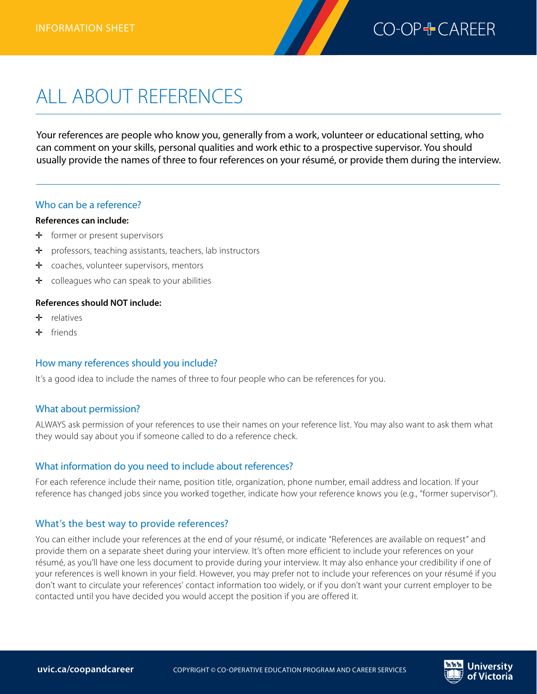

# ALL ABOUT REFERENCES

Your references are people who know you, generally from a work, volunteer or educational setting, who can comment on your skills, personal qualities and work ethic to a prospective supervisor. You should usually provide the names of three to four references on your résumé, or provide them during the interview.

#### Who can be a reference?

#### **References can include:**

- $\div$  former or present supervisors
- ✛ professors, teaching assistants, teachers, lab instructors
- ✛ coaches, volunteer supervisors, mentors
- $\div$  colleagues who can speak to your abilities

### **References should NOT include:**

- ✛ relatives
- ✛ friends

### How many references should you include?

It's a good idea to include the names of three to four people who can be references for you.

#### What about permission?

ALWAYS ask permission of your references to use their names on your reference list. You may also want to ask them what they would say about you if someone called to do a reference check.

### What information do you need to include about references?

For each reference include their name, position title, organization, phone number, email address and location. If your reference has changed jobs since you worked together, indicate how your reference knows you (e.g., "former supervisor").

### What's the best way to provide references?

You can either include your references at the end of your résumé, or indicate "References are available on request" and provide them on a separate sheet during your interview. It's often more efficient to include your references on your résumé, as you'll have one less document to provide during your interview. It may also enhance your credibility if one of your references is well known in your field. However, you may prefer not to include your references on your résumé if you don't want to circulate your references' contact information too widely, or if you don't want your current employer to be contacted until you have decided you would accept the position if you are offered it.